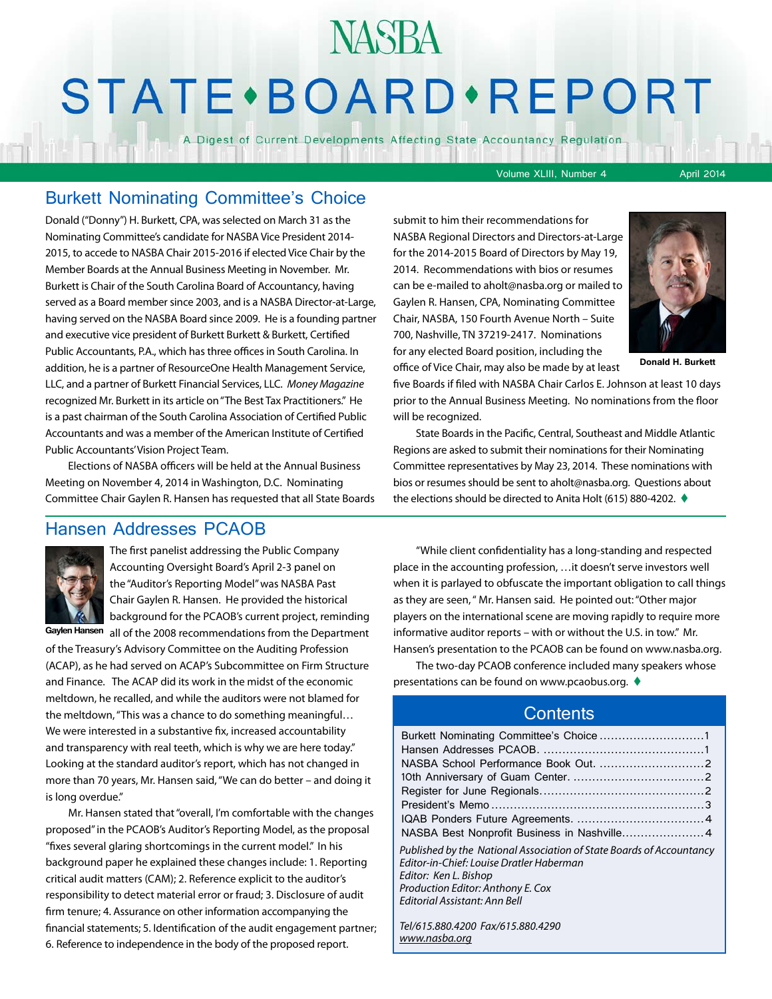## **STATE** · BOARD · REPORT

**NASBA** 

A Digest of Current Developments Affecting State Accountancy Regulation

Volume XLIII, Number 4 April 2014

#### Burkett Nominating Committee's Choice

Donald ("Donny") H. Burkett, CPA, was selected on March 31 as the Nominating Committee's candidate for NASBA Vice President 2014- 2015, to accede to NASBA Chair 2015-2016 if elected Vice Chair by the Member Boards at the Annual Business Meeting in November. Mr. Burkett is Chair of the South Carolina Board of Accountancy, having served as a Board member since 2003, and is a NASBA Director-at-Large, having served on the NASBA Board since 2009. He is a founding partner and executive vice president of Burkett Burkett & Burkett, Certified Public Accountants, P.A., which has three offices in South Carolina. In addition, he is a partner of ResourceOne Health Management Service, LLC, and a partner of Burkett Financial Services, LLC. *Money Magazine* recognized Mr. Burkett in its article on "The Best Tax Practitioners." He is a past chairman of the South Carolina Association of Certified Public Accountants and was a member of the American Institute of Certified Public Accountants' Vision Project Team.

Elections of NASBA officers will be held at the Annual Business Meeting on November 4, 2014 in Washington, D.C. Nominating Committee Chair Gaylen R. Hansen has requested that all State Boards

#### Hansen Addresses PCAOB



The first panelist addressing the Public Company Accounting Oversight Board's April 2-3 panel on the "Auditor's Reporting Model" was NASBA Past Chair Gaylen R. Hansen. He provided the historical background for the PCAOB's current project, reminding

Gaylen Hansen all of the 2008 recommendations from the Department of the Treasury's Advisory Committee on the Auditing Profession (ACAP), as he had served on ACAP's Subcommittee on Firm Structure and Finance. The ACAP did its work in the midst of the economic meltdown, he recalled, and while the auditors were not blamed for the meltdown, "This was a chance to do something meaningful… We were interested in a substantive fix, increased accountability and transparency with real teeth, which is why we are here today." Looking at the standard auditor's report, which has not changed in more than 70 years, Mr. Hansen said, "We can do better – and doing it is long overdue."

Mr. Hansen stated that "overall, I'm comfortable with the changes proposed" in the PCAOB's Auditor's Reporting Model, as the proposal "fixes several glaring shortcomings in the current model." In his background paper he explained these changes include: 1. Reporting critical audit matters (CAM); 2. Reference explicit to the auditor's responsibility to detect material error or fraud; 3. Disclosure of audit firm tenure; 4. Assurance on other information accompanying the financial statements; 5. Identification of the audit engagement partner; 6. Reference to independence in the body of the proposed report.

submit to him their recommendations for NASBA Regional Directors and Directors-at-Large for the 2014-2015 Board of Directors by May 19, 2014. Recommendations with bios or resumes can be e-mailed to aholt@nasba.org or mailed to Gaylen R. Hansen, CPA, Nominating Committee Chair, NASBA, 150 Fourth Avenue North – Suite 700, Nashville, TN 37219-2417. Nominations for any elected Board position, including the office of Vice Chair, may also be made by at least



**Donald H. Burkett**

five Boards if filed with NASBA Chair Carlos E. Johnson at least 10 days prior to the Annual Business Meeting. No nominations from the floor will be recognized.

State Boards in the Pacific, Central, Southeast and Middle Atlantic Regions are asked to submit their nominations for their Nominating Committee representatives by May 23, 2014. These nominations with bios or resumes should be sent to aholt@nasba.org. Questions about the elections should be directed to Anita Holt (615) 880-4202.  $\blacklozenge$ 

"While client confidentiality has a long-standing and respected place in the accounting profession, …it doesn't serve investors well when it is parlayed to obfuscate the important obligation to call things as they are seen, " Mr. Hansen said. He pointed out: "Other major players on the international scene are moving rapidly to require more informative auditor reports – with or without the U.S. in tow." Mr. Hansen's presentation to the PCAOB can be found on www.nasba.org.

The two-day PCAOB conference included many speakers whose presentations can be found on www.pcaobus.org.  $\triangleleft$ 

#### **Contents**

| NASBA Best Nonprofit Business in Nashville 4                                                                                                                                                                    |
|-----------------------------------------------------------------------------------------------------------------------------------------------------------------------------------------------------------------|
| Published by the National Association of State Boards of Accountancy<br>Editor-in-Chief: Louise Dratler Haberman<br>Editor: Ken L. Bishop<br>Production Editor: Anthony E. Cox<br>Editorial Assistant: Ann Bell |
|                                                                                                                                                                                                                 |

*Tel/615.880.4200 Fax/615.880.4290 [www.nasba.org](http://www.nasba.org)*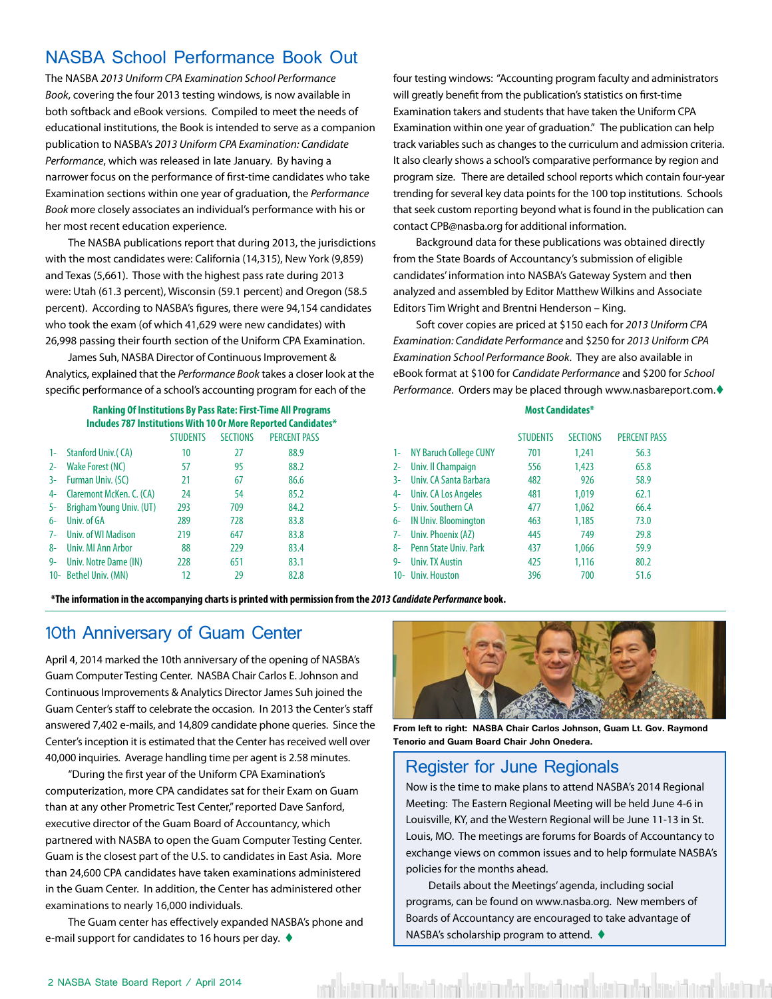#### <span id="page-1-0"></span>NASBA School Performance Book Out

The NASBA *2013 Uniform CPA Examination School Performance Book*, covering the four 2013 testing windows, is now available in both softback and eBook versions. Compiled to meet the needs of educational institutions, the Book is intended to serve as a companion publication to NASBA's *2013 Uniform CPA Examination: Candidate Performance*, which was released in late January. By having a narrower focus on the performance of first-time candidates who take Examination sections within one year of graduation, the *Performance Book* more closely associates an individual's performance with his or her most recent education experience.

The NASBA publications report that during 2013, the jurisdictions with the most candidates were: California (14,315), New York (9,859) and Texas (5,661). Those with the highest pass rate during 2013 were: Utah (61.3 percent), Wisconsin (59.1 percent) and Oregon (58.5 percent). According to NASBA's figures, there were 94,154 candidates who took the exam (of which 41,629 were new candidates) with 26,998 passing their fourth section of the Uniform CPA Examination.

James Suh, NASBA Director of Continuous Improvement & Analytics, explained that the *Performance Book* takes a closer look at the specific performance of a school's accounting program for each of the

> **Ranking Of Institutions By Pass Rate: First-Time All Programs Includes 787 Institutions With 10 Or More Reported Candidates\***

|       |                          | <b>STUDENTS</b> | <b>SECTIONS</b> | <b>PERCENT PASS</b> |
|-------|--------------------------|-----------------|-----------------|---------------------|
| $1 -$ | Stanford Univ. (CA)      | 10              | 27              | 88.9                |
| $2 -$ | <b>Wake Forest (NC)</b>  | 57              | 95              | 88.2                |
| $3-$  | Furman Univ. (SC)        | 21              | 67              | 86.6                |
| 4-    | Claremont McKen. C. (CA) | 24              | 54              | 85.2                |
| 5-    | Brigham Young Univ. (UT) | 293             | 709             | 84.2                |
| 6-    | Univ. of GA              | 289             | 728             | 83.8                |
| $7-$  | Univ. of WI Madison      | 219             | 647             | 83.8                |
| 8-    | Univ. MI Ann Arbor       | 88              | 229             | 83.4                |
| 9-    | Univ. Notre Dame (IN)    | 228             | 651             | 83.1                |
|       | 10- Bethel Univ. (MN)    | 12              | 29              | 82.8                |

four testing windows: "Accounting program faculty and administrators will greatly benefit from the publication's statistics on first-time Examination takers and students that have taken the Uniform CPA Examination within one year of graduation." The publication can help track variables such as changes to the curriculum and admission criteria. It also clearly shows a school's comparative performance by region and program size. There are detailed school reports which contain four-year trending for several key data points for the 100 top institutions. Schools that seek custom reporting beyond what is found in the publication can contact CPB@nasba.org for additional information.

Background data for these publications was obtained directly from the State Boards of Accountancy's submission of eligible candidates' information into NASBA's Gateway System and then analyzed and assembled by Editor Matthew Wilkins and Associate Editors Tim Wright and Brentni Henderson – King.

Soft cover copies are priced at \$150 each for *2013 Uniform CPA Examination: Candidate Performance* and \$250 for *2013 Uniform CPA Examination School Performance Book*. They are also available in eBook format at \$100 for *Candidate Performance* and \$200 for *School*  Performance. Orders may be placed through www.nasbareport.com.<sup>•</sup>

#### **Most Candidates\***

|      |                               | <b>STUDENTS</b> | <b>SECTIONS</b> | <b>PERCENT PASS</b> |
|------|-------------------------------|-----------------|-----------------|---------------------|
| 1-   | <b>NY Baruch College CUNY</b> | 701             | 1,241           | 56.3                |
| 2-   | Univ. Il Champaign            | 556             | 1,423           | 65.8                |
| 3-   | Univ. CA Santa Barbara        | 482             | 926             | 58.9                |
| 4-   | <b>Univ. CA Los Angeles</b>   | 481             | 1,019           | 62.1                |
| 5-   | Univ. Southern CA             | 477             | 1,062           | 66.4                |
| 6-   | <b>IN Univ. Bloomington</b>   | 463             | 1,185           | 73.0                |
| $7-$ | Univ. Phoenix (AZ)            | 445             | 749             | 29.8                |
| 8-   | <b>Penn State Univ. Park</b>  | 437             | 1,066           | 59.9                |
| 9-   | <b>Univ. TX Austin</b>        | 425             | 1,116           | 80.2                |
|      | 10- Univ. Houston             | 396             | 700             | 51.6                |

**\*The information in the accompanying charts is printed with permission from the** *2013 Candidate Performance* **book.** 

#### 10th Anniversary of Guam Center

April 4, 2014 marked the 10th anniversary of the opening of NASBA's Guam Computer Testing Center. NASBA Chair Carlos E. Johnson and Continuous Improvements & Analytics Director James Suh joined the Guam Center's staff to celebrate the occasion. In 2013 the Center's staff answered 7,402 e-mails, and 14,809 candidate phone queries. Since the Center's inception it is estimated that the Center has received well over 40,000 inquiries. Average handling time per agent is 2.58 minutes.

"During the first year of the Uniform CPA Examination's computerization, more CPA candidates sat for their Exam on Guam than at any other Prometric Test Center," reported Dave Sanford, executive director of the Guam Board of Accountancy, which partnered with NASBA to open the Guam Computer Testing Center. Guam is the closest part of the U.S. to candidates in East Asia. More than 24,600 CPA candidates have taken examinations administered in the Guam Center. In addition, the Center has administered other examinations to nearly 16,000 individuals.

The Guam center has effectively expanded NASBA's phone and e-mail support for candidates to 16 hours per day.  $\blacklozenge$ 



**From left to right: NASBA Chair Carlos Johnson, Guam Lt. Gov. Raymond Tenorio and Guam Board Chair John Onedera.**

#### Register for June Regionals

latin dar keditan betin dar keditan

Now is the time to make plans to attend NASBA's 2014 Regional Meeting: The Eastern Regional Meeting will be held June 4-6 in Louisville, KY, and the Western Regional will be June 11-13 in St. Louis, MO. The meetings are forums for Boards of Accountancy to exchange views on common issues and to help formulate NASBA's policies for the months ahead.

Details about the Meetings' agenda, including social programs, can be found on www.nasba.org. New members of Boards of Accountancy are encouraged to take advantage of NASBA's scholarship program to attend.  $\blacklozenge$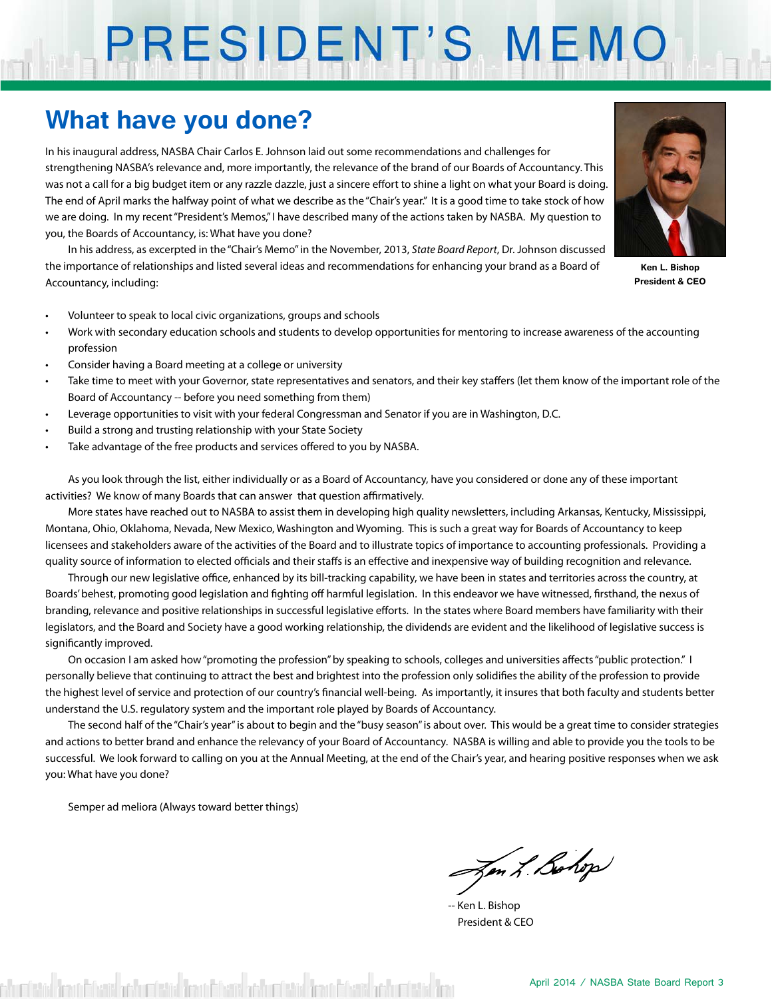# PRESIDENT'S MEMO

## **What have you done?**

In his inaugural address, NASBA Chair Carlos E. Johnson laid out some recommendations and challenges for strengthening NASBA's relevance and, more importantly, the relevance of the brand of our Boards of Accountancy. This was not a call for a big budget item or any razzle dazzle, just a sincere effort to shine a light on what your Board is doing. The end of April marks the halfway point of what we describe as the "Chair's year." It is a good time to take stock of how we are doing. In my recent "President's Memos," I have described many of the actions taken by NASBA. My question to you, the Boards of Accountancy, is: What have you done?

In his address, as excerpted in the "Chair's Memo" in the November, 2013, *State Board Report*, Dr. Johnson discussed the importance of relationships and listed several ideas and recommendations for enhancing your brand as a Board of Accountancy, including:

- Volunteer to speak to local civic organizations, groups and schools
- Work with secondary education schools and students to develop opportunities for mentoring to increase awareness of the accounting profession
- Consider having a Board meeting at a college or university
- Take time to meet with your Governor, state representatives and senators, and their key staffers (let them know of the important role of the Board of Accountancy -- before you need something from them)
- Leverage opportunities to visit with your federal Congressman and Senator if you are in Washington, D.C.
- Build a strong and trusting relationship with your State Society
- Take advantage of the free products and services offered to you by NASBA.

As you look through the list, either individually or as a Board of Accountancy, have you considered or done any of these important activities? We know of many Boards that can answer that question affirmatively.

More states have reached out to NASBA to assist them in developing high quality newsletters, including Arkansas, Kentucky, Mississippi, Montana, Ohio, Oklahoma, Nevada, New Mexico, Washington and Wyoming. This is such a great way for Boards of Accountancy to keep licensees and stakeholders aware of the activities of the Board and to illustrate topics of importance to accounting professionals. Providing a quality source of information to elected officials and their staffs is an effective and inexpensive way of building recognition and relevance.

Through our new legislative office, enhanced by its bill-tracking capability, we have been in states and territories across the country, at Boards' behest, promoting good legislation and fighting off harmful legislation. In this endeavor we have witnessed, firsthand, the nexus of branding, relevance and positive relationships in successful legislative efforts. In the states where Board members have familiarity with their legislators, and the Board and Society have a good working relationship, the dividends are evident and the likelihood of legislative success is significantly improved.

On occasion I am asked how "promoting the profession" by speaking to schools, colleges and universities affects "public protection." I personally believe that continuing to attract the best and brightest into the profession only solidifies the ability of the profession to provide the highest level of service and protection of our country's financial well-being. As importantly, it insures that both faculty and students better understand the U.S. regulatory system and the important role played by Boards of Accountancy.

The second half of the "Chair's year" is about to begin and the "busy season" is about over. This would be a great time to consider strategies and actions to better brand and enhance the relevancy of your Board of Accountancy. NASBA is willing and able to provide you the tools to be successful. We look forward to calling on you at the Annual Meeting, at the end of the Chair's year, and hearing positive responses when we ask you: What have you done?

Semper ad meliora (Always toward better things)

Jen L. Bolop

-- Ken L. Bishop President & CEO





**Ken L. Bishop President & CEO**